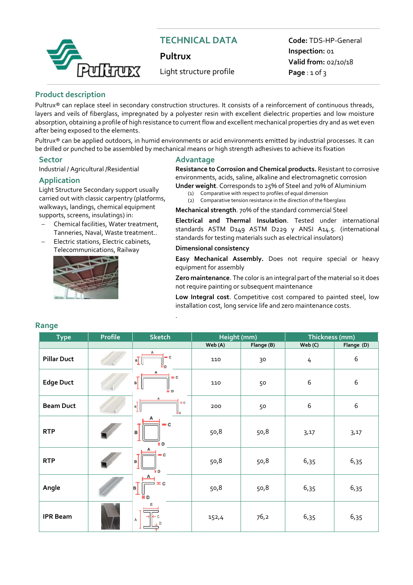

# **TECHNICAL DATA**

**Pultrux**

Light structure profile

**Code:** TDS-HP-General **Inspection:** 01 **Valid from:** 02/10/18 **Page** : 1 of 3

#### **Product description**

Pultrux® can replace steel in secondary construction structures. It consists of a reinforcement of continuous threads, layers and veils of fiberglass, impregnated by a polyester resin with excellent dielectric properties and low moisture absorption, obtaining a profile of high resistance to current flow and excellent mechanical properties dry and as wet even after being exposed to the elements.

Pultrux® can be applied outdoors, in humid environments or acid environments emitted by industrial processes. It can be drilled or punched to be assembled by mechanical means or high strength adhesives to achieve its fixation

Industrial / Agricultural /Residential

#### **Application**

Light Structure Secondary support usually carried out with classic carpentry (platforms, walkways, landings, chemical equipment supports, screens, insulatings) in:

- Chemical facilities, Water treatment, Tanneries, Naval, Waste treatment..
- Electric stations, Electric cabinets, Telecommunications, Railway



#### **Sector Advantage**

**Resistance to Corrosion and Chemical products.** Resistant to corrosive environments, acids, saline, alkaline and electromagnetic corrosion **Under weight**. Corresponds to 25% of Steel and 70% of Aluminium

- (1) Comparative with respect to profiles of equal dimension
- (2) Comparative tension resistance in the direction of the fiberglass
- **Mechanical strength**. 70% of the standard commercial Steel

**Electrical and Thermal Insulation**. Tested under international standards ASTM D149 ASTM D229 y ANSI A14.5. (international standards for testing materials such as electrical insulators)

#### **Dimensional consistency**

.

**Easy Mechanical Assembly.** Does not require special or heavy equipment for assembly

**Zero maintenance**. The color is an integral part of the material so it does not require painting or subsequent maintenance

**Low Integral cost**. Competitive cost compared to painted steel, low installation cost, long service life and zero maintenance costs.

| <b>Type</b>        | <b>Profile</b> | <b>Sketch</b>                                  | Height (mm) |            | Thickness (mm) |                  |  |
|--------------------|----------------|------------------------------------------------|-------------|------------|----------------|------------------|--|
|                    |                |                                                | Web (A)     | Flange (B) | Web (C)        | Flange (D)       |  |
| <b>Pillar Duct</b> |                | $ \epsilon$<br>$\mathbf{u}$ <sub>1</sub><br>Hв | 110         | 30         | 4              | $\boldsymbol{6}$ |  |
| <b>Edge Duct</b>   |                | $= 0$<br>в<br>Ĥв                               | 110         | 50         | 6              | $\boldsymbol{6}$ |  |
| <b>Beam Duct</b>   |                | ΞĈ<br>n                                        | 200         | 50         | 6              | $\boldsymbol{6}$ |  |
| <b>RTP</b>         |                | $= c$<br>в<br>HD                               | 50,8        | 50,8       | 3,17           | 3,17             |  |
| <b>RTP</b>         |                | $= c$<br>HD.                                   | 50,8        | 50,8       | 6,35           | 6,35             |  |
| Angle              |                | $= c$<br>в<br>ĤЬ                               | 50,8        | 50,8       | 6,35           | 6,35             |  |
| <b>IPR Beam</b>    |                | А<br>D                                         | 152,4       | 76,2       | 6,35           | 6,35             |  |

## **Range**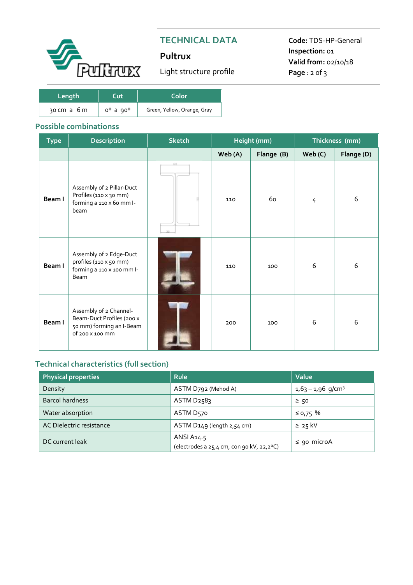

# **TECHNICAL DATA**

# **Pultrux**

Light structure profile

**Code:** TDS-HP-General **Inspection:** 01 **Valid from:** 02/10/18 **Page** : 2 of 3

| Length      | ∩ıt            | Color                       |  |  |  |
|-------------|----------------|-----------------------------|--|--|--|
| 30 cm a 6 m | $0^0$ a $90^0$ | Green, Yellow, Orange, Gray |  |  |  |

## **Possible combinationss**

| <b>Type</b> | <b>Description</b>                                                                                 | <b>Sketch</b> |         | Height (mm) | Thickness (mm) |            |  |
|-------------|----------------------------------------------------------------------------------------------------|---------------|---------|-------------|----------------|------------|--|
|             |                                                                                                    |               | Web (A) | Flange (B)  | Web(C)         | Flange (D) |  |
| Beam I      | Assembly of 2 Pillar-Duct<br>Profiles (110 x 30 mm)<br>forming a 110 x 60 mm I-<br>beam            | 60<br>3b      | 110     | 60          | 4              | 6          |  |
| Beam I      | Assembly of 2 Edge-Duct<br>profiles (110 x 50 mm)<br>forming a 110 x 100 mm l-<br>Beam             |               | 110     | 100         | 6              | 6          |  |
| Beam I      | Assembly of 2 Channel-<br>Beam-Duct Profiles (200 x<br>50 mm) forming an I-Beam<br>of 200 x 100 mm |               | 200     | 100         | 6              | 6          |  |

# **Technical characteristics (full section))**

| <b>Physical properties</b> | <b>Rule</b>                                             | Value                           |  |  |
|----------------------------|---------------------------------------------------------|---------------------------------|--|--|
| Density                    | ASTM D792 (Mehod A)                                     | $1,63 - 1,96$ g/cm <sup>3</sup> |  |  |
| <b>Barcol hardness</b>     | ASTM D <sub>25</sub> 83                                 | $\geq$ 50                       |  |  |
| Water absorption           | ASTM D570                                               | $≤$ 0,75 %                      |  |  |
| AC Dielectric resistance   | ASTM D149 (length 2,54 cm)                              | $\geq 25$ kV                    |  |  |
| DC current leak            | ANSI A14.5<br>(electrodes a 25,4 cm, con 90 kV, 22,2ºC) | $\le$ 90 microA                 |  |  |